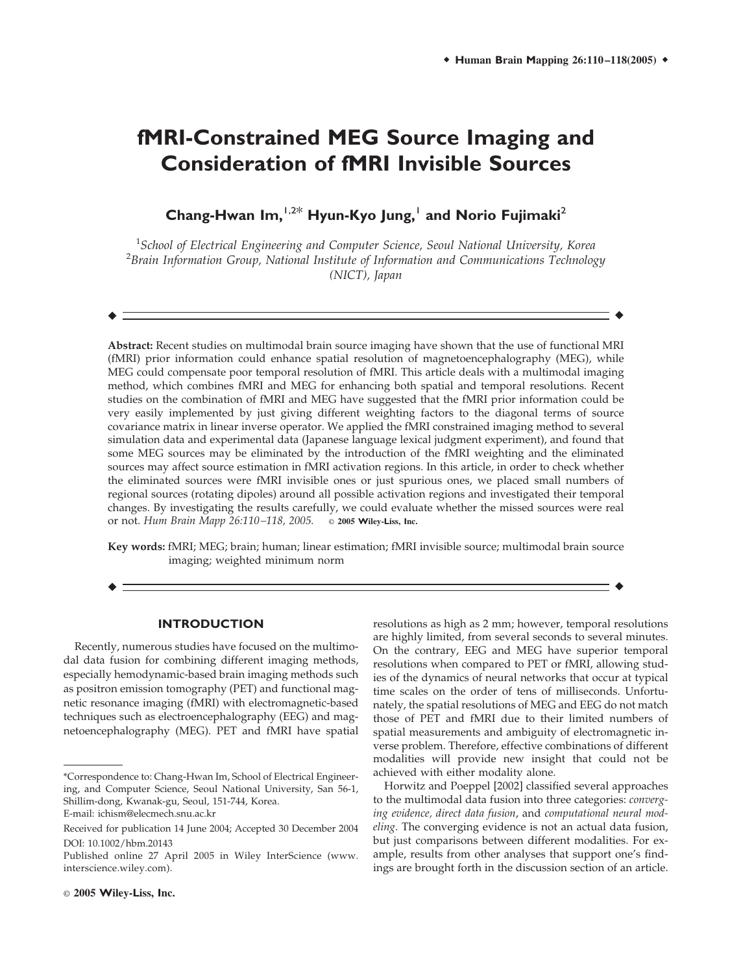# **fMRI-Constrained MEG Source Imaging and Consideration of fMRI Invisible Sources**

**Chang-Hwan Im,**1,2\* **Hyun-Kyo Jung,**<sup>1</sup> **and Norio Fujimaki**<sup>2</sup>

<sup>1</sup> School of Electrical Engineering and Computer Science, Seoul National University, Korea<br><sup>2</sup> Brain Information Crown, National Institute of Information and Communications Technolog *Brain Information Group, National Institute of Information and Communications Technology (NICT), Japan*

◆ ——————————————————————————————— ◆

**Abstract:** Recent studies on multimodal brain source imaging have shown that the use of functional MRI (fMRI) prior information could enhance spatial resolution of magnetoencephalography (MEG), while MEG could compensate poor temporal resolution of fMRI. This article deals with a multimodal imaging method, which combines fMRI and MEG for enhancing both spatial and temporal resolutions. Recent studies on the combination of fMRI and MEG have suggested that the fMRI prior information could be very easily implemented by just giving different weighting factors to the diagonal terms of source covariance matrix in linear inverse operator. We applied the fMRI constrained imaging method to several simulation data and experimental data (Japanese language lexical judgment experiment), and found that some MEG sources may be eliminated by the introduction of the fMRI weighting and the eliminated sources may affect source estimation in fMRI activation regions. In this article, in order to check whether the eliminated sources were fMRI invisible ones or just spurious ones, we placed small numbers of regional sources (rotating dipoles) around all possible activation regions and investigated their temporal changes. By investigating the results carefully, we could evaluate whether the missed sources were real or not. *Hum Brain Mapp 26:110 –118, 2005.* © **2005 Wiley-Liss, Inc.**

**Key words:** fMRI; MEG; brain; human; linear estimation; fMRI invisible source; multimodal brain source imaging; weighted minimum norm

 $\blacklozenge$  and the contract of the contract of the contract of the contract of the contract of  $\blacklozenge$ 

**INTRODUCTION**

Recently, numerous studies have focused on the multimodal data fusion for combining different imaging methods, especially hemodynamic-based brain imaging methods such as positron emission tomography (PET) and functional magnetic resonance imaging (fMRI) with electromagnetic-based techniques such as electroencephalography (EEG) and magnetoencephalography (MEG). PET and fMRI have spatial

© **2005 Wiley-Liss, Inc.**

resolutions as high as 2 mm; however, temporal resolutions are highly limited, from several seconds to several minutes. On the contrary, EEG and MEG have superior temporal resolutions when compared to PET or fMRI, allowing studies of the dynamics of neural networks that occur at typical time scales on the order of tens of milliseconds. Unfortunately, the spatial resolutions of MEG and EEG do not match those of PET and fMRI due to their limited numbers of spatial measurements and ambiguity of electromagnetic inverse problem. Therefore, effective combinations of different modalities will provide new insight that could not be achieved with either modality alone.

Horwitz and Poeppel [2002] classified several approaches to the multimodal data fusion into three categories: *converging evidence, direct data fusion*, and *computational neural modeling*. The converging evidence is not an actual data fusion, but just comparisons between different modalities. For example, results from other analyses that support one's findings are brought forth in the discussion section of an article.

<sup>\*</sup>Correspondence to: Chang-Hwan Im, School of Electrical Engineering, and Computer Science, Seoul National University, San 56-1, Shillim-dong, Kwanak-gu, Seoul, 151-744, Korea.

E-mail: ichism@elecmech.snu.ac.kr

Received for publication 14 June 2004; Accepted 30 December 2004 DOI: 10.1002/hbm.20143

Published online 27 April 2005 in Wiley InterScience (www. interscience.wiley.com).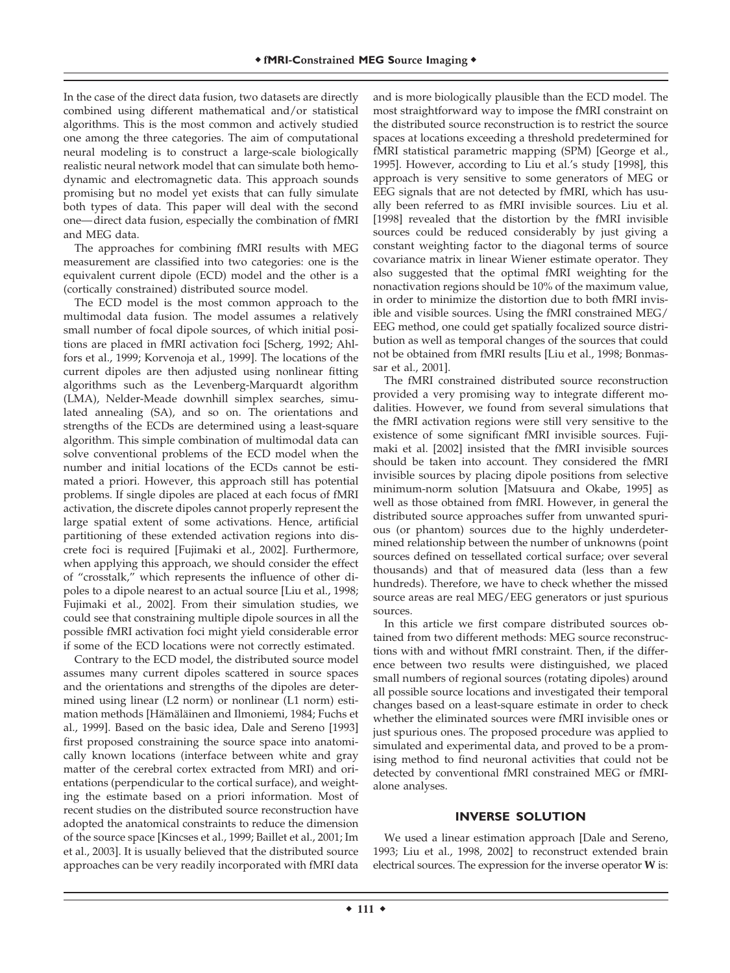In the case of the direct data fusion, two datasets are directly combined using different mathematical and/or statistical algorithms. This is the most common and actively studied one among the three categories. The aim of computational neural modeling is to construct a large-scale biologically realistic neural network model that can simulate both hemodynamic and electromagnetic data. This approach sounds promising but no model yet exists that can fully simulate both types of data. This paper will deal with the second one—direct data fusion, especially the combination of fMRI and MEG data.

The approaches for combining fMRI results with MEG measurement are classified into two categories: one is the equivalent current dipole (ECD) model and the other is a (cortically constrained) distributed source model.

The ECD model is the most common approach to the multimodal data fusion. The model assumes a relatively small number of focal dipole sources, of which initial positions are placed in fMRI activation foci [Scherg, 1992; Ahlfors et al., 1999; Korvenoja et al., 1999]. The locations of the current dipoles are then adjusted using nonlinear fitting algorithms such as the Levenberg-Marquardt algorithm (LMA), Nelder-Meade downhill simplex searches, simulated annealing (SA), and so on. The orientations and strengths of the ECDs are determined using a least-square algorithm. This simple combination of multimodal data can solve conventional problems of the ECD model when the number and initial locations of the ECDs cannot be estimated a priori. However, this approach still has potential problems. If single dipoles are placed at each focus of fMRI activation, the discrete dipoles cannot properly represent the large spatial extent of some activations. Hence, artificial partitioning of these extended activation regions into discrete foci is required [Fujimaki et al., 2002]. Furthermore, when applying this approach, we should consider the effect of "crosstalk," which represents the influence of other dipoles to a dipole nearest to an actual source [Liu et al., 1998; Fujimaki et al., 2002]. From their simulation studies, we could see that constraining multiple dipole sources in all the possible fMRI activation foci might yield considerable error if some of the ECD locations were not correctly estimated.

Contrary to the ECD model, the distributed source model assumes many current dipoles scattered in source spaces and the orientations and strengths of the dipoles are determined using linear (L2 norm) or nonlinear (L1 norm) estimation methods [Hämäläinen and Ilmoniemi, 1984; Fuchs et al., 1999]. Based on the basic idea, Dale and Sereno [1993] first proposed constraining the source space into anatomically known locations (interface between white and gray matter of the cerebral cortex extracted from MRI) and orientations (perpendicular to the cortical surface), and weighting the estimate based on a priori information. Most of recent studies on the distributed source reconstruction have adopted the anatomical constraints to reduce the dimension of the source space [Kincses et al., 1999; Baillet et al., 2001; Im et al., 2003]. It is usually believed that the distributed source approaches can be very readily incorporated with fMRI data

and is more biologically plausible than the ECD model. The most straightforward way to impose the fMRI constraint on the distributed source reconstruction is to restrict the source spaces at locations exceeding a threshold predetermined for fMRI statistical parametric mapping (SPM) [George et al., 1995]. However, according to Liu et al.'s study [1998], this approach is very sensitive to some generators of MEG or EEG signals that are not detected by fMRI, which has usually been referred to as fMRI invisible sources. Liu et al. [1998] revealed that the distortion by the fMRI invisible sources could be reduced considerably by just giving a constant weighting factor to the diagonal terms of source covariance matrix in linear Wiener estimate operator. They also suggested that the optimal fMRI weighting for the nonactivation regions should be 10% of the maximum value, in order to minimize the distortion due to both fMRI invisible and visible sources. Using the fMRI constrained MEG/ EEG method, one could get spatially focalized source distribution as well as temporal changes of the sources that could not be obtained from fMRI results [Liu et al., 1998; Bonmassar et al., 2001].

The fMRI constrained distributed source reconstruction provided a very promising way to integrate different modalities. However, we found from several simulations that the fMRI activation regions were still very sensitive to the existence of some significant fMRI invisible sources. Fujimaki et al. [2002] insisted that the fMRI invisible sources should be taken into account. They considered the fMRI invisible sources by placing dipole positions from selective minimum-norm solution [Matsuura and Okabe, 1995] as well as those obtained from fMRI. However, in general the distributed source approaches suffer from unwanted spurious (or phantom) sources due to the highly underdetermined relationship between the number of unknowns (point sources defined on tessellated cortical surface; over several thousands) and that of measured data (less than a few hundreds). Therefore, we have to check whether the missed source areas are real MEG/EEG generators or just spurious sources.

In this article we first compare distributed sources obtained from two different methods: MEG source reconstructions with and without fMRI constraint. Then, if the difference between two results were distinguished, we placed small numbers of regional sources (rotating dipoles) around all possible source locations and investigated their temporal changes based on a least-square estimate in order to check whether the eliminated sources were fMRI invisible ones or just spurious ones. The proposed procedure was applied to simulated and experimental data, and proved to be a promising method to find neuronal activities that could not be detected by conventional fMRI constrained MEG or fMRIalone analyses.

## **INVERSE SOLUTION**

We used a linear estimation approach [Dale and Sereno, 1993; Liu et al., 1998, 2002] to reconstruct extended brain electrical sources. The expression for the inverse operator **W** is: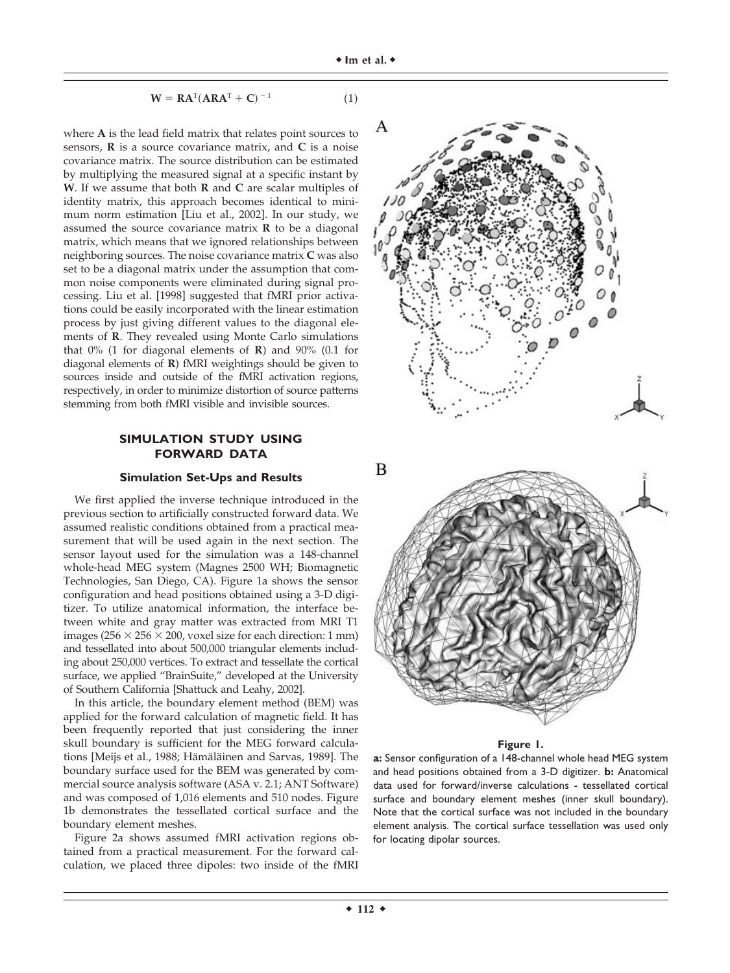$$
\mathbf{W} = \mathbf{R} \mathbf{A}^{\mathrm{T}} (\mathbf{A} \mathbf{R} \mathbf{A}^{\mathrm{T}} + \mathbf{C})^{-1}
$$
 (1)

where **A** is the lead field matrix that relates point sources to sensors, **R** is a source covariance matrix, and **C** is a noise covariance matrix. The source distribution can be estimated by multiplying the measured signal at a specific instant by **W**. If we assume that both **R** and **C** are scalar multiples of identity matrix, this approach becomes identical to minimum norm estimation [Liu et al., 2002]. In our study, we assumed the source covariance matrix **R** to be a diagonal matrix, which means that we ignored relationships between neighboring sources. The noise covariance matrix **C** was also set to be a diagonal matrix under the assumption that common noise components were eliminated during signal processing. Liu et al. [1998] suggested that fMRI prior activations could be easily incorporated with the linear estimation process by just giving different values to the diagonal elements of **R**. They revealed using Monte Carlo simulations that 0% (1 for diagonal elements of **R**) and 90% (0.1 for diagonal elements of **R**) fMRI weightings should be given to sources inside and outside of the fMRI activation regions, respectively, in order to minimize distortion of source patterns stemming from both fMRI visible and invisible sources.

# **SIMULATION STUDY USING FORWARD DATA**

#### **Simulation Set-Ups and Results**

We first applied the inverse technique introduced in the previous section to artificially constructed forward data. We assumed realistic conditions obtained from a practical measurement that will be used again in the next section. The sensor layout used for the simulation was a 148-channel whole-head MEG system (Magnes 2500 WH; Biomagnetic Technologies, San Diego, CA). Figure 1a shows the sensor configuration and head positions obtained using a 3-D digitizer. To utilize anatomical information, the interface between white and gray matter was extracted from MRI T1 images (256  $\times$  256  $\times$  200, voxel size for each direction: 1 mm) and tessellated into about 500,000 triangular elements including about 250,000 vertices. To extract and tessellate the cortical surface, we applied "BrainSuite," developed at the University of Southern California [Shattuck and Leahy, 2002].

In this article, the boundary element method (BEM) was applied for the forward calculation of magnetic field. It has been frequently reported that just considering the inner skull boundary is sufficient for the MEG forward calculations [Meijs et al., 1988; Hämäläinen and Sarvas, 1989]. The boundary surface used for the BEM was generated by commercial source analysis software (ASA v. 2.1; ANT Software) and was composed of 1,016 elements and 510 nodes. Figure 1b demonstrates the tessellated cortical surface and the boundary element meshes.

Figure 2a shows assumed fMRI activation regions obtained from a practical measurement. For the forward calculation, we placed three dipoles: two inside of the fMRI



#### **Figure 1.**

**a:** Sensor configuration of a 148-channel whole head MEG system and head positions obtained from a 3-D digitizer. **b:** Anatomical data used for forward/inverse calculations - tessellated cortical surface and boundary element meshes (inner skull boundary). Note that the cortical surface was not included in the boundary element analysis. The cortical surface tessellation was used only for locating dipolar sources.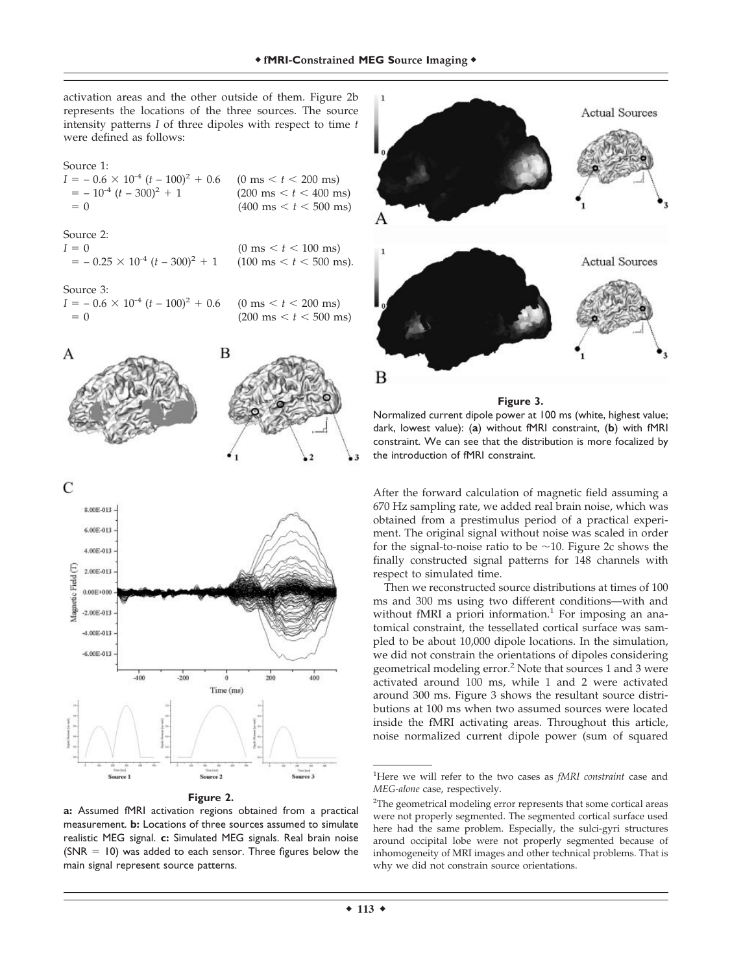activation areas and the other outside of them. Figure 2b represents the locations of the three sources. The source intensity patterns *I* of three dipoles with respect to time *t* were defined as follows:

Source 1:

 $I = -0.6 \times 10^{-4} (t - 100)^2 + 0.6$  (0 ms < *t* < 200 ms)<br>= -10<sup>-4</sup> (*t* – 300)<sup>2</sup> + 1 (200 ms < *t* < 400 ms)  $=$   $-10^{-4}$   $(t - 300)^2 + 1$  $= 0$  (400 ms  $< t < 500$  ms)

Source 2:

$$
I = 0
$$
  
= -0.25 × 10<sup>-4</sup> (t - 300)<sup>2</sup> + 1

Source 3:  $I = -0.6 \times 10^{-4} (t - 100)^2 + 0.6$  (0 ms  $\lt t \lt 200$  ms)<br>= 0 (200 ms  $\lt t \lt 500$  m



 $(0 \text{ ms} < t < 100 \text{ ms})$  $(100 \text{ ms} < t < 500 \text{ ms})$ .











**a:** Assumed fMRI activation regions obtained from a practical measurement. **b:** Locations of three sources assumed to simulate realistic MEG signal. **c:** Simulated MEG signals. Real brain noise (SNR  $=$  10) was added to each sensor. Three figures below the main signal represent source patterns.



**Figure 3.**

Normalized current dipole power at 100 ms (white, highest value; dark, lowest value): (**a**) without fMRI constraint, (**b**) with fMRI constraint. We can see that the distribution is more focalized by the introduction of fMRI constraint.

After the forward calculation of magnetic field assuming a 670 Hz sampling rate, we added real brain noise, which was obtained from a prestimulus period of a practical experiment. The original signal without noise was scaled in order for the signal-to-noise ratio to be  $\sim$ 10. Figure 2c shows the finally constructed signal patterns for 148 channels with respect to simulated time.

Then we reconstructed source distributions at times of 100 ms and 300 ms using two different conditions—with and without fMRI a priori information. $1$  For imposing an anatomical constraint, the tessellated cortical surface was sampled to be about 10,000 dipole locations. In the simulation, we did not constrain the orientations of dipoles considering geometrical modeling error.2 Note that sources 1 and 3 were activated around 100 ms, while 1 and 2 were activated around 300 ms. Figure 3 shows the resultant source distributions at 100 ms when two assumed sources were located inside the fMRI activating areas. Throughout this article, noise normalized current dipole power (sum of squared

<sup>1</sup> Here we will refer to the two cases as *fMRI constraint* case and *MEG-alone* case, respectively.

<sup>&</sup>lt;sup>2</sup>The geometrical modeling error represents that some cortical areas were not properly segmented. The segmented cortical surface used here had the same problem. Especially, the sulci-gyri structures around occipital lobe were not properly segmented because of inhomogeneity of MRI images and other technical problems. That is why we did not constrain source orientations.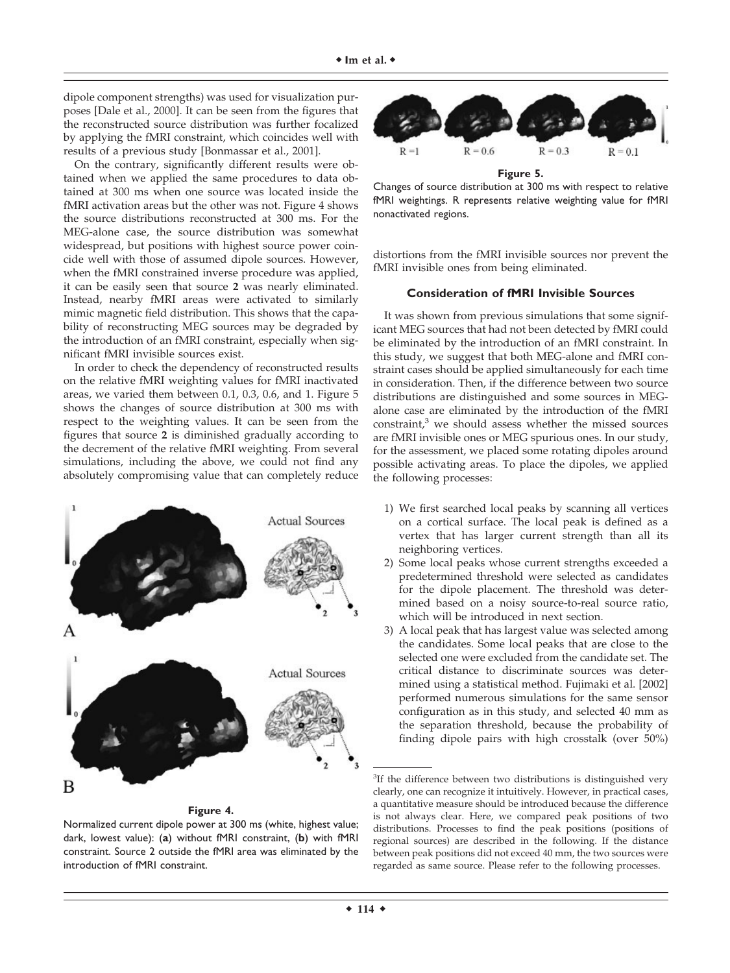dipole component strengths) was used for visualization purposes [Dale et al., 2000]. It can be seen from the figures that the reconstructed source distribution was further focalized by applying the fMRI constraint, which coincides well with results of a previous study [Bonmassar et al., 2001].

On the contrary, significantly different results were obtained when we applied the same procedures to data obtained at 300 ms when one source was located inside the fMRI activation areas but the other was not. Figure 4 shows the source distributions reconstructed at 300 ms. For the MEG-alone case, the source distribution was somewhat widespread, but positions with highest source power coincide well with those of assumed dipole sources. However, when the fMRI constrained inverse procedure was applied, it can be easily seen that source **2** was nearly eliminated. Instead, nearby fMRI areas were activated to similarly mimic magnetic field distribution. This shows that the capability of reconstructing MEG sources may be degraded by the introduction of an fMRI constraint, especially when significant fMRI invisible sources exist.

In order to check the dependency of reconstructed results on the relative fMRI weighting values for fMRI inactivated areas, we varied them between 0.1, 0.3, 0.6, and 1. Figure 5 shows the changes of source distribution at 300 ms with respect to the weighting values. It can be seen from the figures that source **2** is diminished gradually according to the decrement of the relative fMRI weighting. From several simulations, including the above, we could not find any absolutely compromising value that can completely reduce



#### **Figure 4.**

Normalized current dipole power at 300 ms (white, highest value; dark, lowest value): (**a**) without fMRI constraint, (**b**) with fMRI constraint. Source 2 outside the fMRI area was eliminated by the introduction of fMRI constraint.



Changes of source distribution at 300 ms with respect to relative fMRI weightings. R represents relative weighting value for fMRI nonactivated regions.

distortions from the fMRI invisible sources nor prevent the fMRI invisible ones from being eliminated.

# **Consideration of fMRI Invisible Sources**

It was shown from previous simulations that some significant MEG sources that had not been detected by fMRI could be eliminated by the introduction of an fMRI constraint. In this study, we suggest that both MEG-alone and fMRI constraint cases should be applied simultaneously for each time in consideration. Then, if the difference between two source distributions are distinguished and some sources in MEGalone case are eliminated by the introduction of the fMRI  $constant$ , $3$  we should assess whether the missed sources are fMRI invisible ones or MEG spurious ones. In our study, for the assessment, we placed some rotating dipoles around possible activating areas. To place the dipoles, we applied the following processes:

- 1) We first searched local peaks by scanning all vertices on a cortical surface. The local peak is defined as a vertex that has larger current strength than all its neighboring vertices.
- 2) Some local peaks whose current strengths exceeded a predetermined threshold were selected as candidates for the dipole placement. The threshold was determined based on a noisy source-to-real source ratio, which will be introduced in next section.
- 3) A local peak that has largest value was selected among the candidates. Some local peaks that are close to the selected one were excluded from the candidate set. The critical distance to discriminate sources was determined using a statistical method. Fujimaki et al. [2002] performed numerous simulations for the same sensor configuration as in this study, and selected 40 mm as the separation threshold, because the probability of finding dipole pairs with high crosstalk (over 50%)

<sup>3</sup>If the difference between two distributions is distinguished very clearly, one can recognize it intuitively. However, in practical cases, a quantitative measure should be introduced because the difference is not always clear. Here, we compared peak positions of two distributions. Processes to find the peak positions (positions of regional sources) are described in the following. If the distance between peak positions did not exceed 40 mm, the two sources were regarded as same source. Please refer to the following processes.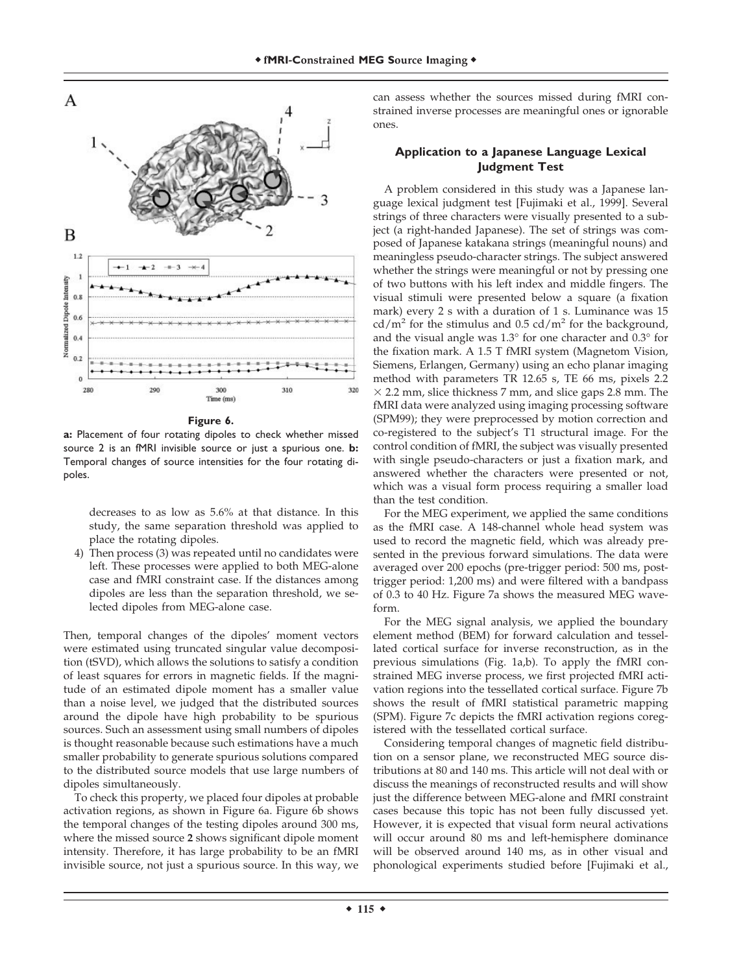

**Figure 6.**

**a:** Placement of four rotating dipoles to check whether missed source 2 is an fMRI invisible source or just a spurious one. **b:** Temporal changes of source intensities for the four rotating dipoles.

decreases to as low as 5.6% at that distance. In this study, the same separation threshold was applied to place the rotating dipoles.

4) Then process (3) was repeated until no candidates were left. These processes were applied to both MEG-alone case and fMRI constraint case. If the distances among dipoles are less than the separation threshold, we selected dipoles from MEG-alone case.

Then, temporal changes of the dipoles' moment vectors were estimated using truncated singular value decomposition (tSVD), which allows the solutions to satisfy a condition of least squares for errors in magnetic fields. If the magnitude of an estimated dipole moment has a smaller value than a noise level, we judged that the distributed sources around the dipole have high probability to be spurious sources. Such an assessment using small numbers of dipoles is thought reasonable because such estimations have a much smaller probability to generate spurious solutions compared to the distributed source models that use large numbers of dipoles simultaneously.

To check this property, we placed four dipoles at probable activation regions, as shown in Figure 6a. Figure 6b shows the temporal changes of the testing dipoles around 300 ms, where the missed source **2** shows significant dipole moment intensity. Therefore, it has large probability to be an fMRI invisible source, not just a spurious source. In this way, we can assess whether the sources missed during fMRI constrained inverse processes are meaningful ones or ignorable ones.

# **Application to a Japanese Language Lexical Judgment Test**

A problem considered in this study was a Japanese language lexical judgment test [Fujimaki et al., 1999]. Several strings of three characters were visually presented to a subject (a right-handed Japanese). The set of strings was composed of Japanese katakana strings (meaningful nouns) and meaningless pseudo-character strings. The subject answered whether the strings were meaningful or not by pressing one of two buttons with his left index and middle fingers. The visual stimuli were presented below a square (a fixation mark) every 2 s with a duration of 1 s. Luminance was 15  $cd/m^2$  for the stimulus and 0.5 cd/m<sup>2</sup> for the background, and the visual angle was 1.3° for one character and 0.3° for the fixation mark. A 1.5 T fMRI system (Magnetom Vision, Siemens, Erlangen, Germany) using an echo planar imaging method with parameters TR 12.65 s, TE 66 ms, pixels 2.2  $\times$  2.2 mm, slice thickness 7 mm, and slice gaps 2.8 mm. The fMRI data were analyzed using imaging processing software (SPM99); they were preprocessed by motion correction and co-registered to the subject's T1 structural image. For the control condition of fMRI, the subject was visually presented with single pseudo-characters or just a fixation mark, and answered whether the characters were presented or not, which was a visual form process requiring a smaller load than the test condition.

For the MEG experiment, we applied the same conditions as the fMRI case. A 148-channel whole head system was used to record the magnetic field, which was already presented in the previous forward simulations. The data were averaged over 200 epochs (pre-trigger period: 500 ms, posttrigger period: 1,200 ms) and were filtered with a bandpass of 0.3 to 40 Hz. Figure 7a shows the measured MEG waveform.

For the MEG signal analysis, we applied the boundary element method (BEM) for forward calculation and tessellated cortical surface for inverse reconstruction, as in the previous simulations (Fig. 1a,b). To apply the fMRI constrained MEG inverse process, we first projected fMRI activation regions into the tessellated cortical surface. Figure 7b shows the result of fMRI statistical parametric mapping (SPM). Figure 7c depicts the fMRI activation regions coregistered with the tessellated cortical surface.

Considering temporal changes of magnetic field distribution on a sensor plane, we reconstructed MEG source distributions at 80 and 140 ms. This article will not deal with or discuss the meanings of reconstructed results and will show just the difference between MEG-alone and fMRI constraint cases because this topic has not been fully discussed yet. However, it is expected that visual form neural activations will occur around 80 ms and left-hemisphere dominance will be observed around 140 ms, as in other visual and phonological experiments studied before [Fujimaki et al.,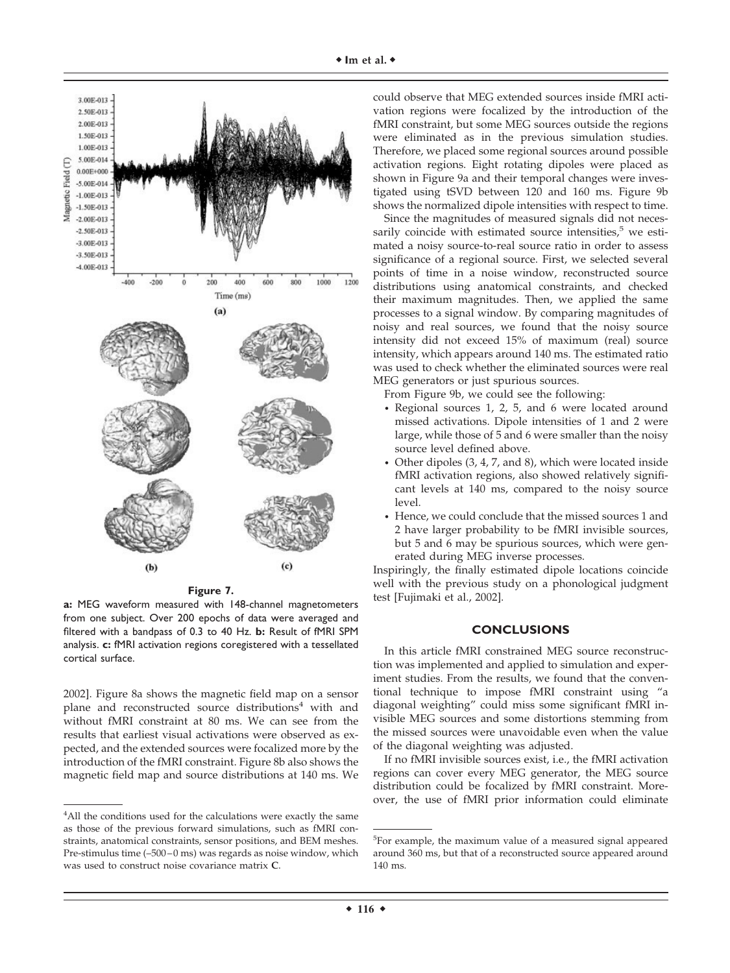

**Figure 7.**

**a:** MEG waveform measured with 148-channel magnetometers from one subject. Over 200 epochs of data were averaged and filtered with a bandpass of 0.3 to 40 Hz. **b:** Result of fMRI SPM analysis. **c:** fMRI activation regions coregistered with a tessellated cortical surface.

2002]. Figure 8a shows the magnetic field map on a sensor plane and reconstructed source distributions<sup>4</sup> with and without fMRI constraint at 80 ms. We can see from the results that earliest visual activations were observed as expected, and the extended sources were focalized more by the introduction of the fMRI constraint. Figure 8b also shows the magnetic field map and source distributions at 140 ms. We could observe that MEG extended sources inside fMRI activation regions were focalized by the introduction of the fMRI constraint, but some MEG sources outside the regions were eliminated as in the previous simulation studies. Therefore, we placed some regional sources around possible activation regions. Eight rotating dipoles were placed as shown in Figure 9a and their temporal changes were investigated using tSVD between 120 and 160 ms. Figure 9b shows the normalized dipole intensities with respect to time.

Since the magnitudes of measured signals did not necessarily coincide with estimated source intensities,<sup>5</sup> we estimated a noisy source-to-real source ratio in order to assess significance of a regional source. First, we selected several points of time in a noise window, reconstructed source distributions using anatomical constraints, and checked their maximum magnitudes. Then, we applied the same processes to a signal window. By comparing magnitudes of noisy and real sources, we found that the noisy source intensity did not exceed 15% of maximum (real) source intensity, which appears around 140 ms. The estimated ratio was used to check whether the eliminated sources were real MEG generators or just spurious sources.

From Figure 9b, we could see the following:

- Regional sources 1, 2, 5, and 6 were located around missed activations. Dipole intensities of 1 and 2 were large, while those of 5 and 6 were smaller than the noisy source level defined above.
- Other dipoles (3, 4, 7, and 8), which were located inside fMRI activation regions, also showed relatively significant levels at 140 ms, compared to the noisy source level.
- Hence, we could conclude that the missed sources 1 and 2 have larger probability to be fMRI invisible sources, but 5 and 6 may be spurious sources, which were generated during MEG inverse processes.

Inspiringly, the finally estimated dipole locations coincide well with the previous study on a phonological judgment test [Fujimaki et al., 2002].

## **CONCLUSIONS**

In this article fMRI constrained MEG source reconstruction was implemented and applied to simulation and experiment studies. From the results, we found that the conventional technique to impose fMRI constraint using "a diagonal weighting" could miss some significant fMRI invisible MEG sources and some distortions stemming from the missed sources were unavoidable even when the value of the diagonal weighting was adjusted.

If no fMRI invisible sources exist, i.e., the fMRI activation regions can cover every MEG generator, the MEG source distribution could be focalized by fMRI constraint. Moreover, the use of fMRI prior information could eliminate

<sup>&</sup>lt;sup>4</sup>All the conditions used for the calculations were exactly the same as those of the previous forward simulations, such as fMRI constraints, anatomical constraints, sensor positions, and BEM meshes. Pre-stimulus time (-500-0 ms) was regards as noise window, which was used to construct noise covariance matrix **C**.

<sup>&</sup>lt;sup>5</sup>For example, the maximum value of a measured signal appeared around 360 ms, but that of a reconstructed source appeared around 140 ms.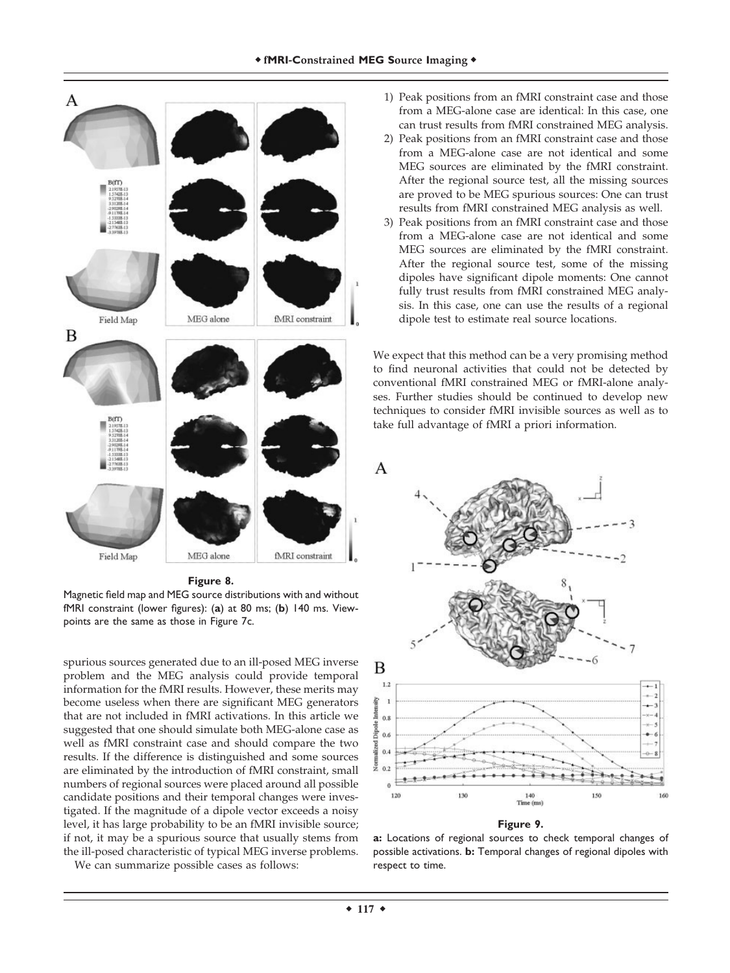

**Figure 8.**

Magnetic field map and MEG source distributions with and without fMRI constraint (lower figures): (**a**) at 80 ms; (**b**) 140 ms. Viewpoints are the same as those in Figure 7c.

spurious sources generated due to an ill-posed MEG inverse problem and the MEG analysis could provide temporal information for the fMRI results. However, these merits may become useless when there are significant MEG generators that are not included in fMRI activations. In this article we suggested that one should simulate both MEG-alone case as well as fMRI constraint case and should compare the two results. If the difference is distinguished and some sources are eliminated by the introduction of fMRI constraint, small numbers of regional sources were placed around all possible candidate positions and their temporal changes were investigated. If the magnitude of a dipole vector exceeds a noisy level, it has large probability to be an fMRI invisible source; if not, it may be a spurious source that usually stems from the ill-posed characteristic of typical MEG inverse problems.

We can summarize possible cases as follows:

- 1) Peak positions from an fMRI constraint case and those from a MEG-alone case are identical: In this case, one can trust results from fMRI constrained MEG analysis.
- 2) Peak positions from an fMRI constraint case and those from a MEG-alone case are not identical and some MEG sources are eliminated by the fMRI constraint. After the regional source test, all the missing sources are proved to be MEG spurious sources: One can trust results from fMRI constrained MEG analysis as well.
- 3) Peak positions from an fMRI constraint case and those from a MEG-alone case are not identical and some MEG sources are eliminated by the fMRI constraint. After the regional source test, some of the missing dipoles have significant dipole moments: One cannot fully trust results from fMRI constrained MEG analysis. In this case, one can use the results of a regional dipole test to estimate real source locations.

We expect that this method can be a very promising method to find neuronal activities that could not be detected by conventional fMRI constrained MEG or fMRI-alone analyses. Further studies should be continued to develop new techniques to consider fMRI invisible sources as well as to take full advantage of fMRI a priori information.



**Figure 9.**

**a:** Locations of regional sources to check temporal changes of possible activations. **b:** Temporal changes of regional dipoles with respect to time.